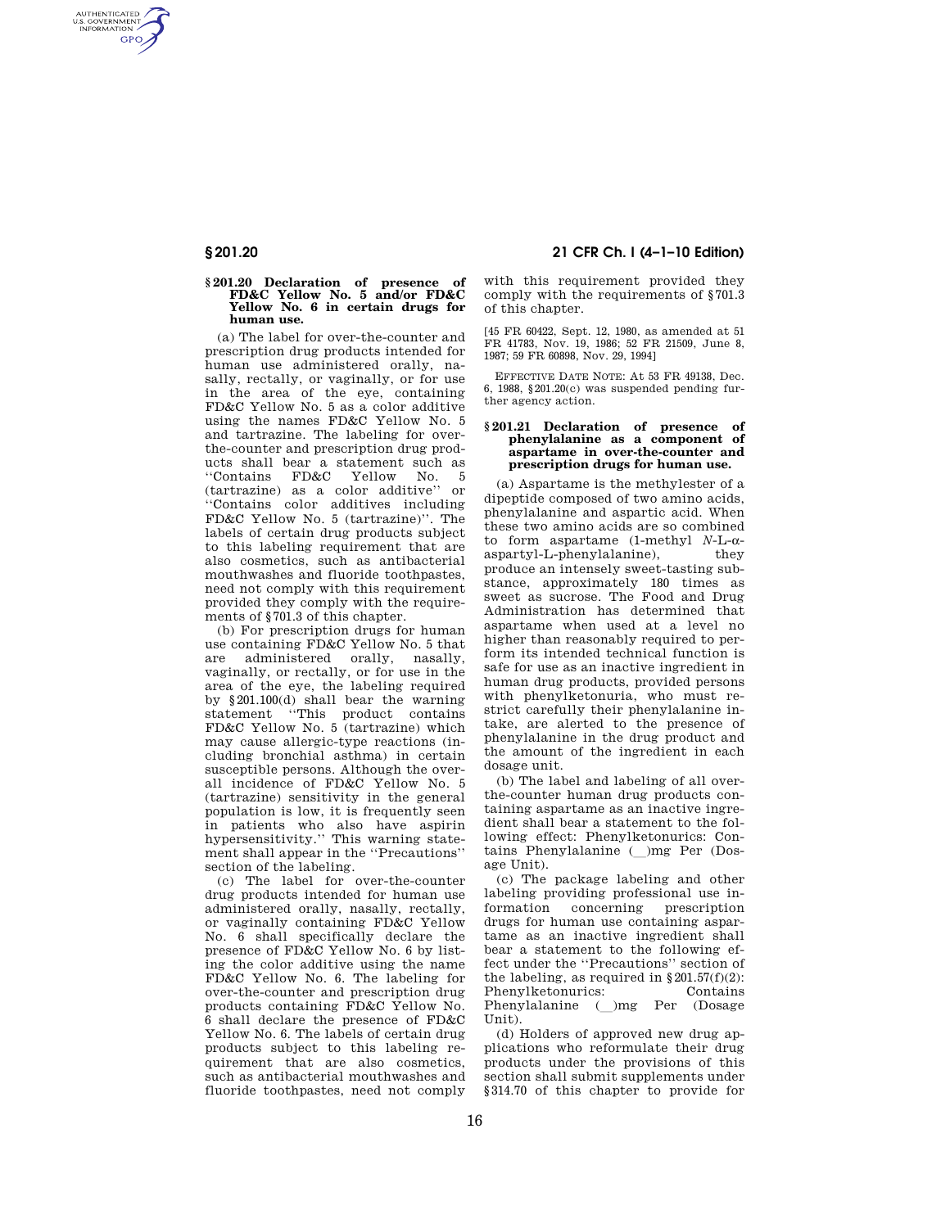AUTHENTICATED<br>U.S. GOVERNMENT<br>INFORMATION **GPO** 

# **§ 201.20 Declaration of presence of FD&C Yellow No. 5 and/or FD&C Yellow No. 6 in certain drugs for human use.**

(a) The label for over-the-counter and prescription drug products intended for human use administered orally, nasally, rectally, or vaginally, or for use in the area of the eye, containing FD&C Yellow No. 5 as a color additive using the names FD&C Yellow No. 5 and tartrazine. The labeling for overthe-counter and prescription drug products shall bear a statement such as ''Contains FD&C Yellow No. 5 (tartrazine) as a color additive'' or ''Contains color additives including FD&C Yellow No. 5 (tartrazine)''. The labels of certain drug products subject to this labeling requirement that are also cosmetics, such as antibacterial mouthwashes and fluoride toothpastes, need not comply with this requirement provided they comply with the requirements of §701.3 of this chapter.

(b) For prescription drugs for human use containing FD&C Yellow No. 5 that are administered orally, nasally, vaginally, or rectally, or for use in the area of the eye, the labeling required by §201.100(d) shall bear the warning statement ''This product contains FD&C Yellow No. 5 (tartrazine) which may cause allergic-type reactions (including bronchial asthma) in certain susceptible persons. Although the overall incidence of FD&C Yellow No. 5 (tartrazine) sensitivity in the general population is low, it is frequently seen in patients who also have aspirin hypersensitivity.'' This warning statement shall appear in the ''Precautions'' section of the labeling.

(c) The label for over-the-counter drug products intended for human use administered orally, nasally, rectally, or vaginally containing FD&C Yellow No. 6 shall specifically declare the presence of FD&C Yellow No. 6 by listing the color additive using the name FD&C Yellow No. 6. The labeling for over-the-counter and prescription drug products containing FD&C Yellow No. 6 shall declare the presence of FD&C Yellow No. 6. The labels of certain drug products subject to this labeling requirement that are also cosmetics, such as antibacterial mouthwashes and fluoride toothpastes, need not comply

## **§ 201.20 21 CFR Ch. I (4–1–10 Edition)**

with this requirement provided they comply with the requirements of §701.3 of this chapter.

[45 FR 60422, Sept. 12, 1980, as amended at 51 FR 41783, Nov. 19, 1986; 52 FR 21509, June 8, 1987; 59 FR 60898, Nov. 29, 1994]

EFFECTIVE DATE NOTE: At 53 FR 49138, Dec. 6, 1988, §201.20(c) was suspended pending further agency action.

#### **§ 201.21 Declaration of presence of phenylalanine as a component of aspartame in over-the-counter and prescription drugs for human use.**

(a) Aspartame is the methylester of a dipeptide composed of two amino acids, phenylalanine and aspartic acid. When these two amino acids are so combined to form aspartame (1-methyl *N*-L-aaspartyl-L-phenylalanine), they produce an intensely sweet-tasting substance, approximately 180 times as sweet as sucrose. The Food and Drug Administration has determined that aspartame when used at a level no higher than reasonably required to perform its intended technical function is safe for use as an inactive ingredient in human drug products, provided persons with phenylketonuria, who must restrict carefully their phenylalanine intake, are alerted to the presence of phenylalanine in the drug product and the amount of the ingredient in each dosage unit.

(b) The label and labeling of all overthe-counter human drug products containing aspartame as an inactive ingredient shall bear a statement to the following effect: Phenylketonurics: Contains Phenylalanine ( )mg Per (Dosage Unit).

(c) The package labeling and other labeling providing professional use information concerning prescription drugs for human use containing aspartame as an inactive ingredient shall bear a statement to the following effect under the ''Precautions'' section of the labeling, as required in  $\S 201.57(f)(2)$ :<br>Phenylketonurics: Contains Phenylketonurics: Phenylalanine ()mg Per (Dosage Unit).

(d) Holders of approved new drug applications who reformulate their drug products under the provisions of this section shall submit supplements under §314.70 of this chapter to provide for